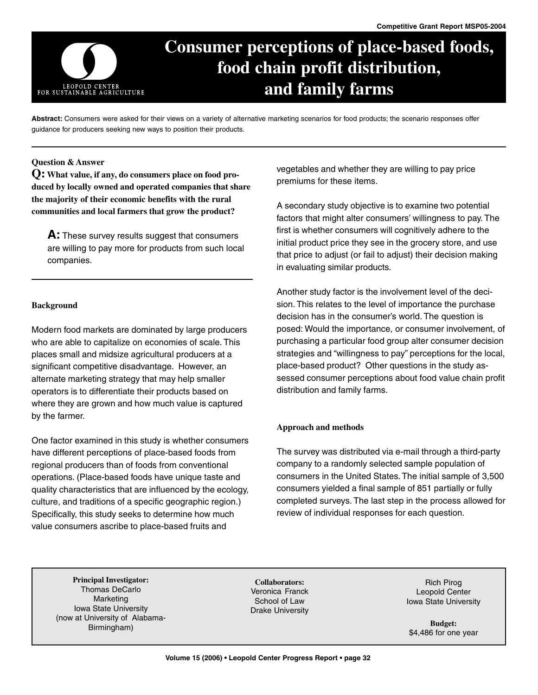

# **Consumer perceptions of place-based foods, food chain profit distribution, and family farms**

**Abstract:** Consumers were asked for their views on a variety of alternative marketing scenarios for food products; the scenario responses offer guidance for producers seeking new ways to position their products.

## **Question & Answer**

**Q: What value, if any, do consumers place on food produced by locally owned and operated companies that share the majority of their economic benefits with the rural communities and local farmers that grow the product?**

**A:** These survey results suggest that consumers are willing to pay more for products from such local companies.

## **Background**

Modern food markets are dominated by large producers who are able to capitalize on economies of scale. This places small and midsize agricultural producers at a significant competitive disadvantage. However, an alternate marketing strategy that may help smaller operators is to differentiate their products based on where they are grown and how much value is captured by the farmer.

One factor examined in this study is whether consumers have different perceptions of place-based foods from regional producers than of foods from conventional operations. (Place-based foods have unique taste and quality characteristics that are influenced by the ecology, culture, and traditions of a specific geographic region.) Specifically, this study seeks to determine how much value consumers ascribe to place-based fruits and

vegetables and whether they are willing to pay price premiums for these items.

A secondary study objective is to examine two potential factors that might alter consumers' willingness to pay. The first is whether consumers will cognitively adhere to the initial product price they see in the grocery store, and use that price to adjust (or fail to adjust) their decision making in evaluating similar products.

Another study factor is the involvement level of the decision. This relates to the level of importance the purchase decision has in the consumer's world. The question is posed: Would the importance, or consumer involvement, of purchasing a particular food group alter consumer decision strategies and "willingness to pay" perceptions for the local, place-based product? Other questions in the study assessed consumer perceptions about food value chain profit distribution and family farms.

## **Approach and methods**

The survey was distributed via e-mail through a third-party company to a randomly selected sample population of consumers in the United States. The initial sample of 3,500 consumers yielded a final sample of 851 partially or fully completed surveys. The last step in the process allowed for review of individual responses for each question.

**Principal Investigator:** Thomas DeCarlo Marketing Iowa State University (now at University of Alabama-Birmingham)

**Collaborators:** Veronica Franck School of Law Drake University

Rich Pirog Leopold Center Iowa State University

**Budget:** \$4,486 for one year